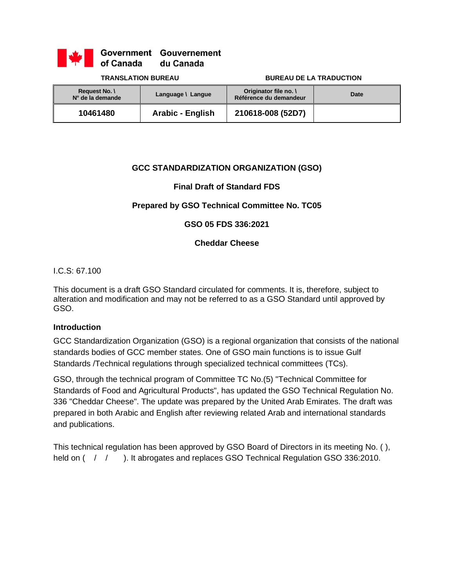

Government Gouvernement of Canada du Canada

#### **TRANSLATION BUREAU BUREAU DE LA TRADUCTION**

| <b>Request No. \</b><br>N° de la demande | Language \ Langue | Originator file no. \<br>Référence du demandeur | Date |
|------------------------------------------|-------------------|-------------------------------------------------|------|
| 10461480                                 | Arabic - English  | 210618-008 (52D7)                               |      |

### **GCC STANDARDIZATION ORGANIZATION (GSO)**

### **Final Draft of Standard FDS**

# **Prepared by GSO Technical Committee No. TC05**

#### **GSO 05 FDS 336:2021**

#### **Cheddar Cheese**

#### I.C.S: 67.100

This document is a draft GSO Standard circulated for comments. It is, therefore, subject to alteration and modification and may not be referred to as a GSO Standard until approved by GSO.

#### **Introduction**

GCC Standardization Organization (GSO) is a regional organization that consists of the national standards bodies of GCC member states. One of GSO main functions is to issue Gulf Standards /Technical regulations through specialized technical committees (TCs).

GSO, through the technical program of Committee TC No.(5) "Technical Committee for Standards of Food and Agricultural Products", has updated the GSO Technical Regulation No. 336 "Cheddar Cheese". The update was prepared by the United Arab Emirates. The draft was prepared in both Arabic and English after reviewing related Arab and international standards and publications.

This technical regulation has been approved by GSO Board of Directors in its meeting No. ( ), held on  $($   $/$   $/$  ). It abrogates and replaces GSO Technical Regulation GSO 336:2010.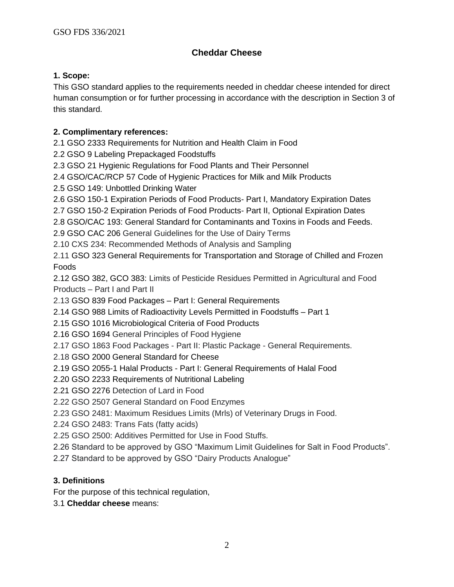# **Cheddar Cheese**

# **1. Scope:**

This GSO standard applies to the requirements needed in cheddar cheese intended for direct human consumption or for further processing in accordance with the description in Section 3 of this standard.

# **2. Complimentary references:**

2.1 GSO 2333 Requirements for Nutrition and Health Claim in Food

2.2 GSO 9 Labeling Prepackaged Foodstuffs

2.3 GSO 21 Hygienic Regulations for Food Plants and Their Personnel

2.4 GSO/CAC/RCP 57 Code of Hygienic Practices for Milk and Milk Products

2.5 GSO 149: Unbottled Drinking Water

2.6 GSO 150-1 Expiration Periods of Food Products- Part I, Mandatory Expiration Dates

2.7 GSO 150-2 Expiration Periods of Food Products- Part II, Optional Expiration Dates

2.8 GSO/CAC 193: General Standard for Contaminants and Toxins in Foods and Feeds.

2.9 GSO CAC 206 General Guidelines for the Use of Dairy Terms

2.10 CXS 234: Recommended Methods of Analysis and Sampling

2.11 GSO 323 General Requirements for Transportation and Storage of Chilled and Frozen Foods

2.12 GSO 382, GCO 383: Limits of Pesticide Residues Permitted in Agricultural and Food Products – Part I and Part II

2.13 GSO 839 Food Packages – Part I: General Requirements

2.14 GSO 988 Limits of Radioactivity Levels Permitted in Foodstuffs – Part 1

2.15 GSO 1016 Microbiological Criteria of Food Products

2.16 GSO 1694 General Principles of Food Hygiene

2.17 GSO 1863 Food Packages - Part II: Plastic Package - General Requirements.

2.18 GSO 2000 General Standard for Cheese

2.19 GSO 2055-1 Halal Products - Part I: General Requirements of Halal Food

2.20 GSO 2233 Requirements of Nutritional Labeling

2.21 GSO 2276 Detection of Lard in Food

2.22 GSO 2507 General Standard on Food Enzymes

2.23 GSO 2481: Maximum Residues Limits (Mrls) of Veterinary Drugs in Food.

2.24 GSO 2483: Trans Fats (fatty acids)

2.25 GSO 2500: Additives Permitted for Use in Food Stuffs.

2.26 Standard to be approved by GSO "Maximum Limit Guidelines for Salt in Food Products".

2.27 Standard to be approved by GSO "Dairy Products Analogue"

# **3. Definitions**

For the purpose of this technical regulation,

3.1 **Cheddar cheese** means: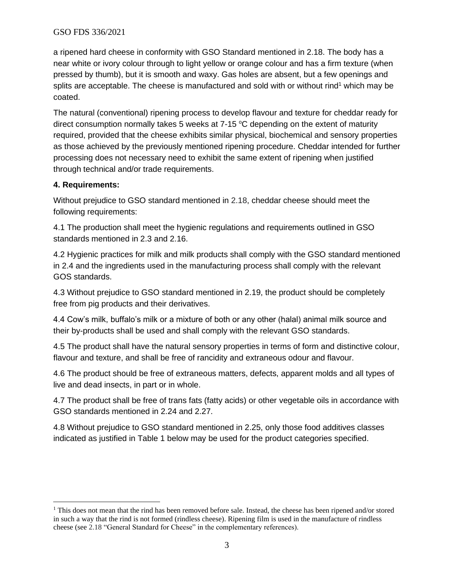#### GSO FDS 336/2021

a ripened hard cheese in conformity with GSO Standard mentioned in 2.18. The body has a near white or ivory colour through to light yellow or orange colour and has a firm texture (when pressed by thumb), but it is smooth and waxy. Gas holes are absent, but a few openings and splits are acceptable. The cheese is manufactured and sold with or without rind<sup>1</sup> which may be coated.

The natural (conventional) ripening process to develop flavour and texture for cheddar ready for direct consumption normally takes 5 weeks at  $7-15$  °C depending on the extent of maturity required, provided that the cheese exhibits similar physical, biochemical and sensory properties as those achieved by the previously mentioned ripening procedure. Cheddar intended for further processing does not necessary need to exhibit the same extent of ripening when justified through technical and/or trade requirements.

### **4. Requirements:**

Without prejudice to GSO standard mentioned in 2.18, cheddar cheese should meet the following requirements:

4.1 The production shall meet the hygienic regulations and requirements outlined in GSO standards mentioned in 2.3 and 2.16.

4.2 Hygienic practices for milk and milk products shall comply with the GSO standard mentioned in 2.4 and the ingredients used in the manufacturing process shall comply with the relevant GOS standards.

4.3 Without prejudice to GSO standard mentioned in 2.19, the product should be completely free from pig products and their derivatives.

4.4 Cow's milk, buffalo's milk or a mixture of both or any other (halal) animal milk source and their by-products shall be used and shall comply with the relevant GSO standards.

4.5 The product shall have the natural sensory properties in terms of form and distinctive colour, flavour and texture, and shall be free of rancidity and extraneous odour and flavour.

4.6 The product should be free of extraneous matters, defects, apparent molds and all types of live and dead insects, in part or in whole.

4.7 The product shall be free of trans fats (fatty acids) or other vegetable oils in accordance with GSO standards mentioned in 2.24 and 2.27.

4.8 Without prejudice to GSO standard mentioned in 2.25, only those food additives classes indicated as justified in Table 1 below may be used for the product categories specified.

<sup>&</sup>lt;sup>1</sup> This does not mean that the rind has been removed before sale. Instead, the cheese has been ripened and/or stored in such a way that the rind is not formed (rindless cheese). Ripening film is used in the manufacture of rindless cheese (see 2.18 "General Standard for Cheese" in the complementary references).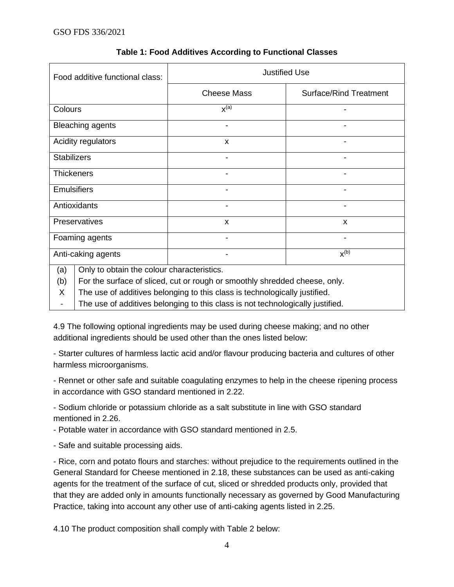| Food additive functional class: | <b>Justified Use</b>                                                                                                  |                               |  |  |  |
|---------------------------------|-----------------------------------------------------------------------------------------------------------------------|-------------------------------|--|--|--|
|                                 | <b>Cheese Mass</b>                                                                                                    | <b>Surface/Rind Treatment</b> |  |  |  |
| Colours                         | $x^{(a)}$                                                                                                             |                               |  |  |  |
| <b>Bleaching agents</b>         |                                                                                                                       |                               |  |  |  |
| Acidity regulators              | X                                                                                                                     |                               |  |  |  |
| <b>Stabilizers</b>              | $\blacksquare$                                                                                                        | -                             |  |  |  |
| <b>Thickeners</b>               | $\blacksquare$                                                                                                        |                               |  |  |  |
| <b>Emulsifiers</b>              | $\blacksquare$                                                                                                        |                               |  |  |  |
| Antioxidants                    |                                                                                                                       |                               |  |  |  |
| Preservatives                   | X                                                                                                                     | X                             |  |  |  |
| Foaming agents                  |                                                                                                                       |                               |  |  |  |
| Anti-caking agents              |                                                                                                                       | $X^{(b)}$                     |  |  |  |
| (a)<br>(h)                      | Only to obtain the colour characteristics.<br>For the surface of sliced cut or rough or smoothly shredded cheese only |                               |  |  |  |

# **Table 1: Food Additives According to Functional Classes**

(b) the surface of sliced, cut or rough or smoothly shredded cheese, only.

X The use of additives belonging to this class is technologically justified.

- The use of additives belonging to this class is not technologically justified.

4.9 The following optional ingredients may be used during cheese making; and no other additional ingredients should be used other than the ones listed below:

- Starter cultures of harmless lactic acid and/or flavour producing bacteria and cultures of other harmless microorganisms.

- Rennet or other safe and suitable coagulating enzymes to help in the cheese ripening process in accordance with GSO standard mentioned in 2.22.

- Sodium chloride or potassium chloride as a salt substitute in line with GSO standard mentioned in 2.26.

- Potable water in accordance with GSO standard mentioned in 2.5.

- Safe and suitable processing aids.

- Rice, corn and potato flours and starches: without prejudice to the requirements outlined in the General Standard for Cheese mentioned in 2.18, these substances can be used as anti-caking agents for the treatment of the surface of cut, sliced or shredded products only, provided that that they are added only in amounts functionally necessary as governed by Good Manufacturing Practice, taking into account any other use of anti-caking agents listed in 2.25.

4.10 The product composition shall comply with Table 2 below: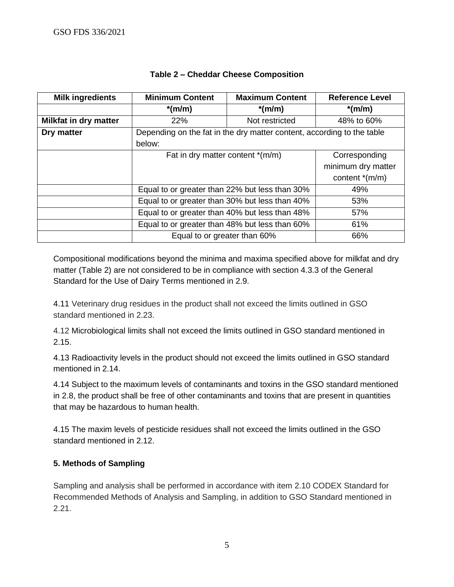| <b>Milk ingredients</b>      | <b>Minimum Content</b>                                                 | <b>Maximum Content</b> | <b>Reference Level</b> |
|------------------------------|------------------------------------------------------------------------|------------------------|------------------------|
|                              | $*(m/m)$                                                               | $*(m/m)$               | $*(m/m)$               |
| <b>Milkfat in dry matter</b> | 22%                                                                    | Not restricted         | 48% to 60%             |
| Dry matter                   | Depending on the fat in the dry matter content, according to the table |                        |                        |
|                              | below:                                                                 |                        |                        |
|                              | Fat in dry matter content $*(m/m)$                                     |                        | Corresponding          |
|                              |                                                                        |                        | minimum dry matter     |
|                              |                                                                        |                        | content $*(m/m)$       |
|                              | Equal to or greater than 22% but less than 30%                         |                        | 49%                    |
|                              | Equal to or greater than 30% but less than 40%                         |                        | 53%                    |
|                              | Equal to or greater than 40% but less than 48%                         |                        | 57%                    |
|                              | Equal to or greater than 48% but less than 60%                         |                        | 61%                    |
|                              | Equal to or greater than 60%                                           |                        | 66%                    |

# **Table 2 – Cheddar Cheese Composition**

Compositional modifications beyond the minima and maxima specified above for milkfat and dry matter (Table 2) are not considered to be in compliance with section 4.3.3 of the General Standard for the Use of Dairy Terms mentioned in 2.9.

4.11 Veterinary drug residues in the product shall not exceed the limits outlined in GSO standard mentioned in 2.23.

4.12 Microbiological limits shall not exceed the limits outlined in GSO standard mentioned in 2.15.

4.13 Radioactivity levels in the product should not exceed the limits outlined in GSO standard mentioned in 2.14.

4.14 Subject to the maximum levels of contaminants and toxins in the GSO standard mentioned in 2.8, the product shall be free of other contaminants and toxins that are present in quantities that may be hazardous to human health.

4.15 The maxim levels of pesticide residues shall not exceed the limits outlined in the GSO standard mentioned in 2.12.

# **5. Methods of Sampling**

Sampling and analysis shall be performed in accordance with item 2.10 CODEX Standard for Recommended Methods of Analysis and Sampling, in addition to GSO Standard mentioned in 2.21.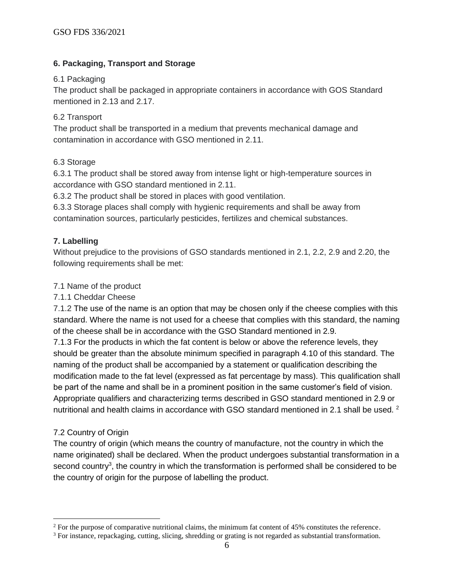# **6. Packaging, Transport and Storage**

### 6.1 Packaging

The product shall be packaged in appropriate containers in accordance with GOS Standard mentioned in 2.13 and 2.17.

### 6.2 Transport

The product shall be transported in a medium that prevents mechanical damage and contamination in accordance with GSO mentioned in 2.11.

### 6.3 Storage

6.3.1 The product shall be stored away from intense light or high-temperature sources in accordance with GSO standard mentioned in 2.11.

6.3.2 The product shall be stored in places with good ventilation.

6.3.3 Storage places shall comply with hygienic requirements and shall be away from contamination sources, particularly pesticides, fertilizes and chemical substances.

# **7. Labelling**

Without prejudice to the provisions of GSO standards mentioned in 2.1, 2.2, 2.9 and 2.20, the following requirements shall be met:

### 7.1 Name of the product

7.1.1 Cheddar Cheese

7.1.2 The use of the name is an option that may be chosen only if the cheese complies with this standard. Where the name is not used for a cheese that complies with this standard, the naming of the cheese shall be in accordance with the GSO Standard mentioned in 2.9.

7.1.3 For the products in which the fat content is below or above the reference levels, they should be greater than the absolute minimum specified in paragraph 4.10 of this standard. The naming of the product shall be accompanied by a statement or qualification describing the modification made to the fat level (expressed as fat percentage by mass). This qualification shall be part of the name and shall be in a prominent position in the same customer's field of vision. Appropriate qualifiers and characterizing terms described in GSO standard mentioned in 2.9 or nutritional and health claims in accordance with GSO standard mentioned in 2.1 shall be used. <sup>2</sup>

# 7.2 Country of Origin

The country of origin (which means the country of manufacture, not the country in which the name originated) shall be declared. When the product undergoes substantial transformation in a second country<sup>3</sup>, the country in which the transformation is performed shall be considered to be the country of origin for the purpose of labelling the product.

<sup>&</sup>lt;sup>2</sup> For the purpose of comparative nutritional claims, the minimum fat content of 45% constitutes the reference.

 $3$  For instance, repackaging, cutting, slicing, shredding or grating is not regarded as substantial transformation.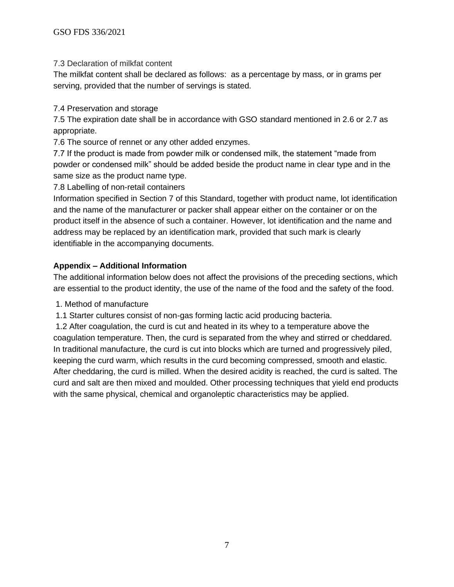7.3 Declaration of milkfat content

The milkfat content shall be declared as follows: as a percentage by mass, or in grams per serving, provided that the number of servings is stated.

7.4 Preservation and storage

7.5 The expiration date shall be in accordance with GSO standard mentioned in 2.6 or 2.7 as appropriate.

7.6 The source of rennet or any other added enzymes.

7.7 If the product is made from powder milk or condensed milk, the statement "made from powder or condensed milk" should be added beside the product name in clear type and in the same size as the product name type.

7.8 Labelling of non-retail containers

Information specified in Section 7 of this Standard, together with product name, lot identification and the name of the manufacturer or packer shall appear either on the container or on the product itself in the absence of such a container. However, lot identification and the name and address may be replaced by an identification mark, provided that such mark is clearly identifiable in the accompanying documents.

# **Appendix – Additional Information**

The additional information below does not affect the provisions of the preceding sections, which are essential to the product identity, the use of the name of the food and the safety of the food.

1. Method of manufacture

1.1 Starter cultures consist of non-gas forming lactic acid producing bacteria.

1.2 After coagulation, the curd is cut and heated in its whey to a temperature above the coagulation temperature. Then, the curd is separated from the whey and stirred or cheddared. In traditional manufacture, the curd is cut into blocks which are turned and progressively piled, keeping the curd warm, which results in the curd becoming compressed, smooth and elastic. After cheddaring, the curd is milled. When the desired acidity is reached, the curd is salted. The curd and salt are then mixed and moulded. Other processing techniques that yield end products with the same physical, chemical and organoleptic characteristics may be applied.